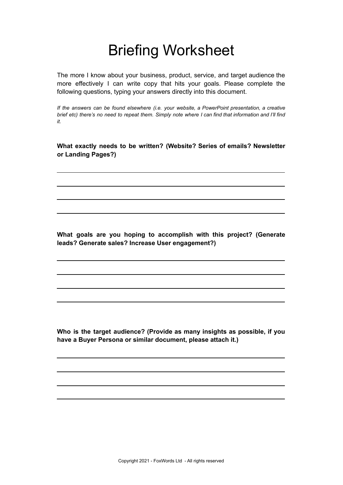## Briefing Worksheet

The more I know about your business, product, service, and target audience the more effectively I can write copy that hits your goals. Please complete the following questions, typing your answers directly into this document.

*If the answers can be found elsewhere (i.e. your website, a PowerPoint presentation, a creative* brief etc) there's no need to repeat them. Simply note where I can find that information and I'll find *it.*

**What exactly needs to be written? (Website? Series of emails? Newsletter or Landing Pages?)**

**What goals are you hoping to accomplish with this project? (Generate leads? Generate sales? Increase User engagement?)**

**Who is the target audience? (Provide as many insights as possible, if you have a Buyer Persona or similar document, please attach it.)**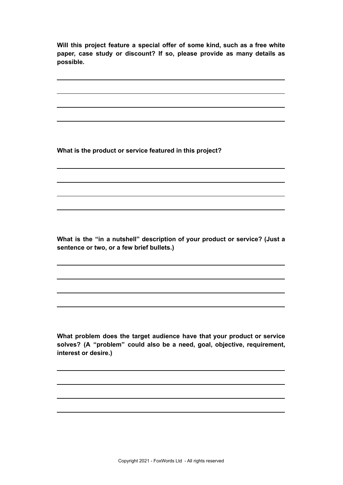**Will this project feature a special offer of some kind, such as a free white paper, case study or discount? If so, please provide as many details as possible.**

**What is the product or service featured in this project?**

**What is the "in a nutshell" description of your product or service? (Just a sentence or two, or a few brief bullets.)**

**What problem does the target audience have that your product or service solves? (A "problem" could also be a need, goal, objective, requirement, interest or desire.)**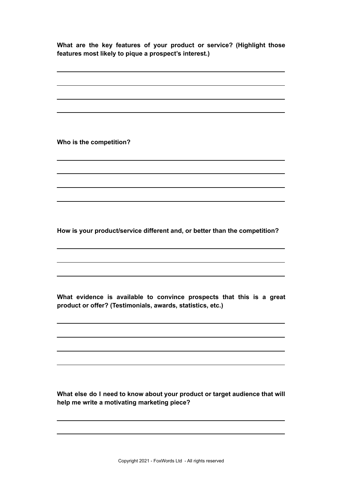**What are the key features of your product or service? (Highlight those features most likely to pique a prospect's interest.)**

**Who is the competition?**

**How is your product/service different and, or better than the competition?**

**What evidence is available to convince prospects that this is a great product or offer? (Testimonials, awards, statistics, etc.)**

**What else do I need to know about your product or target audience that will help me write a motivating marketing piece?**